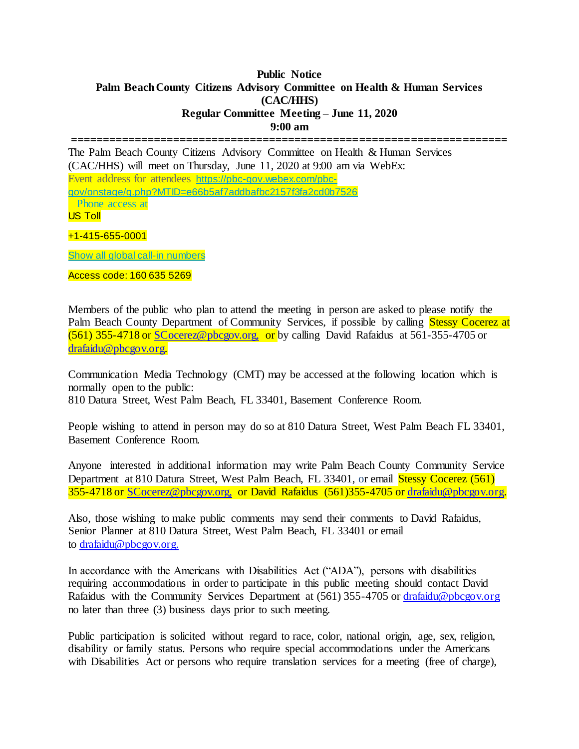## **Public Notice Palm Beach County Citizens Advisory Committee on Health & Human Services (CAC/HHS) Regular Committee Meeting – June 11, 2020 9:00 am**

**====================================================================**

The Palm Beach County Citizens Advisory Committee on Health & Human Services (CAC/HHS) will meet on Thursday, June 11, 2020 at 9:00 am via WebEx: Event address for attendees [https://pbc-gov.webex.com/pbc-](https://pbc-gov.webex.com/pbc-gov/onstage/g.php?MTID=e66b5af7addbafbc2157f3fa2cd0b7526)

[gov/onstage/g.php?MTID=e66b5af7addbafbc2157f3fa2cd0b7526](https://pbc-gov.webex.com/pbc-gov/onstage/g.php?MTID=e66b5af7addbafbc2157f3fa2cd0b7526) Phone access at

US Toll

+1-415-655-0001

[Show all global call-in numbers](https://pbc-gov.webex.com/cmp3300/webcomponents/widget/globalcallin/globalcallin.do?siteurl=pbc-gov&serviceType=EC&eventID=1017708437&tollFree=0)

Access code: 160 635 5269

Members of the public who plan to attend the meeting in person are asked to please notify the Palm Beach County Department of Community Services, if possible by calling Stessy Cocerez at (561) 355-4718 or [SCocerez@pbcgov.org,](mailto:SCocerez@pbcgov.org) or by calling David Rafaidus at 561-355-4705 or [drafaidu@pbcgov.org.](mailto:drafaidu@pbcgov.org)

Communication Media Technology (CMT) may be accessed at the following location which is normally open to the public: 810 Datura Street, West Palm Beach, FL 33401, Basement Conference Room.

People wishing to attend in person may do so at 810 Datura Street, West Palm Beach FL 33401, Basement Conference Room.

Anyone interested in additional information may write Palm Beach County Community Service Department at 810 Datura Street, West Palm Beach, FL 33401, or email Stessy Cocerez (561) 355-4718 or [SCocerez@pbcgov.org,](mailto:SCocerez@pbcgov.org) or David Rafaidus (561)355-4705 o[r drafaidu@pbcgov.org.](mailto:drafaidu@pbcgov.org)

Also, those wishing to make public comments may send their comments to David Rafaidus, Senior Planner at 810 Datura Street, West Palm Beach, FL 33401 or email to [drafaidu@pbcgov.org.](mailto:drafaidu@pbcgov.org)

In accordance with the Americans with Disabilities Act ("ADA"), persons with disabilities requiring accommodations in order to participate in this public meeting should contact David Rafaidus with the Community Services Department at (561) 355-4705 or [drafaidu@pbcgov.org](mailto:drafaidu@pbcgov.org) no later than three (3) business days prior to such meeting.

Public participation is solicited without regard to race, color, national origin, age, sex, religion, disability or family status. Persons who require special accommodations under the Americans with Disabilities Act or persons who require translation services for a meeting (free of charge),